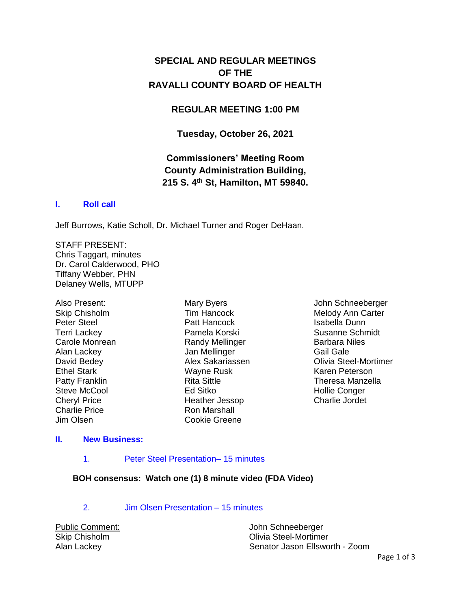# **SPECIAL AND REGULAR MEETINGS OF THE RAVALLI COUNTY BOARD OF HEALTH**

## **REGULAR MEETING 1:00 PM**

**Tuesday, October 26, 2021**

# **Commissioners' Meeting Room County Administration Building, 215 S. 4th St, Hamilton, MT 59840.**

### **I. [Roll call](http://ravalli-mt.granicus.com/wordlinkreceiver.php?clip_id=867f5cf8-b3ff-49b4-bf20-ef387b0c4b41&meta_id=a1b56d73-8123-4104-a026-3a410a0f8516&time=203)**

Jeff Burrows, Katie Scholl, Dr. Michael Turner and Roger DeHaan.

STAFF PRESENT: Chris Taggart, minutes Dr. Carol Calderwood, PHO Tiffany Webber, PHN Delaney Wells, MTUPP

Also Present: Skip Chisholm Peter Steel Terri Lackey Carole Monrean Alan Lackey David Bedey Ethel Stark Patty Franklin Steve McCool Cheryl Price Charlie Price Jim Olsen

Mary Byers Tim Hancock Patt Hancock Pamela Korski Randy Mellinger Jan Mellinger Alex Sakariassen Wayne Rusk Rita Sittle Ed Sitko Heather Jessop Ron Marshall Cookie Greene

John Schneeberger Melody Ann Carter Isabella Dunn Susanne Schmidt Barbara Niles Gail Gale Olivia Steel-Mortimer Karen Peterson Theresa Manzella Hollie Conger Charlie Jordet

#### **II. [New Business:](http://ravalli-mt.granicus.com/wordlinkreceiver.php?clip_id=867f5cf8-b3ff-49b4-bf20-ef387b0c4b41&meta_id=234d7898-c4a5-4b16-96b1-428f63ace47c&time=277)**

#### 1. [Peter Steel Presentation–](http://ravalli-mt.granicus.com/wordlinkreceiver.php?clip_id=867f5cf8-b3ff-49b4-bf20-ef387b0c4b41&meta_id=fa65ac87-ed17-469f-886d-5e09a60efbc2&time=278) 15 minutes

#### **BOH consensus: Watch one (1) 8 minute video (FDA Video)**

2. [Jim Olsen Presentation –](http://ravalli-mt.granicus.com/wordlinkreceiver.php?clip_id=867f5cf8-b3ff-49b4-bf20-ef387b0c4b41&meta_id=ffdddf0d-5590-4bca-8883-94c47c65909b&time=1945) 15 minutes

| <b>Public Comment:</b> | John Schneeberger              |
|------------------------|--------------------------------|
| Skip Chisholm          | Olivia Steel-Mortimer          |
| Alan Lackey            | Senator Jason Ellsworth - Zoom |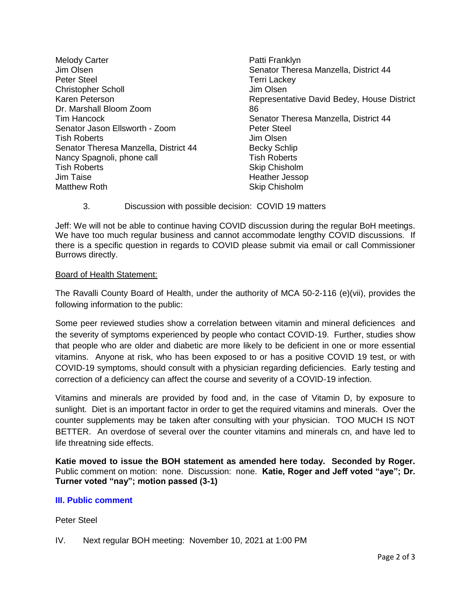Melody Carter Jim Olsen Peter Steel Christopher Scholl Karen Peterson Dr. Marshall Bloom Zoom Tim Hancock Senator Jason Ellsworth - Zoom Tish Roberts Senator Theresa Manzella, District 44 Nancy Spagnoli, phone call Tish Roberts Jim Taise Matthew Roth

Patti Franklyn Senator Theresa Manzella, District 44 Terri Lackey Jim Olsen Representative David Bedey, House District 86 Senator Theresa Manzella, District 44 Peter Steel Jim Olsen Becky Schlip Tish Roberts Skip Chisholm Heather Jessop Skip Chisholm

## 3. Discussion with possible decision: COVID 19 matters

Jeff: We will not be able to continue having COVID discussion during the regular BoH meetings. We have too much regular business and cannot accommodate lengthy COVID discussions. If there is a specific question in regards to COVID please submit via email or call Commissioner Burrows directly.

### Board of Health Statement:

The Ravalli County Board of Health, under the authority of MCA 50-2-116 (e)(vii), provides the following information to the public:

Some peer reviewed studies show a correlation between vitamin and mineral deficiences and the severity of symptoms experienced by people who contact COVID-19. Further, studies show that people who are older and diabetic are more likely to be deficient in one or more essential vitamins. Anyone at risk, who has been exposed to or has a positive COVID 19 test, or with COVID-19 symptoms, should consult with a physician regarding deficiencies. Early testing and correction of a deficiency can affect the course and severity of a COVID-19 infection.

Vitamins and minerals are provided by food and, in the case of Vitamin D, by exposure to sunlight. Diet is an important factor in order to get the required vitamins and minerals. Over the counter supplements may be taken after consulting with your physician. TOO MUCH IS NOT BETTER. An overdose of several over the counter vitamins and minerals cn, and have led to life threatning side effects.

**Katie moved to issue the BOH statement as amended here today. Seconded by Roger.** Public comment on motion: none. Discussion: none. **Katie, Roger and Jeff voted "aye"; Dr. Turner voted "nay"; motion passed (3-1)**

## **[III. Public comment](http://ravalli-mt.granicus.com/wordlinkreceiver.php?clip_id=867f5cf8-b3ff-49b4-bf20-ef387b0c4b41&meta_id=ec13aa03-d2d4-4624-849f-286c317dedd4&time=13728)**

Peter Steel

IV. Next regular BOH meeting: November 10, 2021 at 1:00 PM